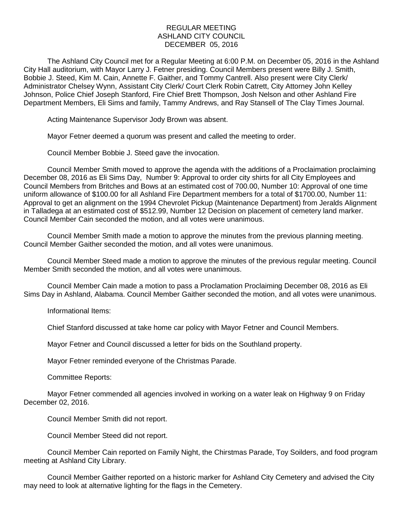## REGULAR MEETING ASHLAND CITY COUNCIL DECEMBER 05, 2016

The Ashland City Council met for a Regular Meeting at 6:00 P.M. on December 05, 2016 in the Ashland City Hall auditorium, with Mayor Larry J. Fetner presiding. Council Members present were Billy J. Smith, Bobbie J. Steed, Kim M. Cain, Annette F. Gaither, and Tommy Cantrell. Also present were City Clerk/ Administrator Chelsey Wynn, Assistant City Clerk/ Court Clerk Robin Catrett, City Attorney John Kelley Johnson, Police Chief Joseph Stanford, Fire Chief Brett Thompson, Josh Nelson and other Ashland Fire Department Members, Eli Sims and family, Tammy Andrews, and Ray Stansell of The Clay Times Journal.

Acting Maintenance Supervisor Jody Brown was absent.

Mayor Fetner deemed a quorum was present and called the meeting to order.

Council Member Bobbie J. Steed gave the invocation.

Council Member Smith moved to approve the agenda with the additions of a Proclaimation proclaiming December 08, 2016 as Eli Sims Day, Number 9: Approval to order city shirts for all City Employees and Council Members from Britches and Bows at an estimated cost of 700.00, Number 10: Approval of one time uniform allowance of \$100.00 for all Ashland Fire Department members for a total of \$1700.00, Number 11: Approval to get an alignment on the 1994 Chevrolet Pickup (Maintenance Department) from Jeralds Alignment in Talladega at an estimated cost of \$512.99, Number 12 Decision on placement of cemetery land marker. Council Member Cain seconded the motion, and all votes were unanimous.

Council Member Smith made a motion to approve the minutes from the previous planning meeting. Council Member Gaither seconded the motion, and all votes were unanimous.

Council Member Steed made a motion to approve the minutes of the previous regular meeting. Council Member Smith seconded the motion, and all votes were unanimous.

Council Member Cain made a motion to pass a Proclamation Proclaiming December 08, 2016 as Eli Sims Day in Ashland, Alabama. Council Member Gaither seconded the motion, and all votes were unanimous.

Informational Items:

Chief Stanford discussed at take home car policy with Mayor Fetner and Council Members.

Mayor Fetner and Council discussed a letter for bids on the Southland property.

Mayor Fetner reminded everyone of the Christmas Parade.

Committee Reports:

Mayor Fetner commended all agencies involved in working on a water leak on Highway 9 on Friday December 02, 2016.

Council Member Smith did not report.

Council Member Steed did not report.

Council Member Cain reported on Family Night, the Chirstmas Parade, Toy Soilders, and food program meeting at Ashland City Library.

Council Member Gaither reported on a historic marker for Ashland City Cemetery and advised the City may need to look at alternative lighting for the flags in the Cemetery.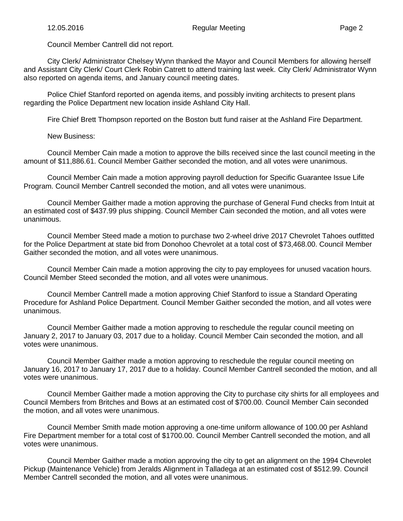Council Member Cantrell did not report.

City Clerk/ Administrator Chelsey Wynn thanked the Mayor and Council Members for allowing herself and Assistant City Clerk/ Court Clerk Robin Catrett to attend training last week. City Clerk/ Administrator Wynn also reported on agenda items, and January council meeting dates.

Police Chief Stanford reported on agenda items, and possibly inviting architects to present plans regarding the Police Department new location inside Ashland City Hall.

Fire Chief Brett Thompson reported on the Boston butt fund raiser at the Ashland Fire Department.

New Business:

Council Member Cain made a motion to approve the bills received since the last council meeting in the amount of \$11,886.61. Council Member Gaither seconded the motion, and all votes were unanimous.

Council Member Cain made a motion approving payroll deduction for Specific Guarantee Issue Life Program. Council Member Cantrell seconded the motion, and all votes were unanimous.

Council Member Gaither made a motion approving the purchase of General Fund checks from Intuit at an estimated cost of \$437.99 plus shipping. Council Member Cain seconded the motion, and all votes were unanimous.

Council Member Steed made a motion to purchase two 2-wheel drive 2017 Chevrolet Tahoes outfitted for the Police Department at state bid from Donohoo Chevrolet at a total cost of \$73,468.00. Council Member Gaither seconded the motion, and all votes were unanimous.

Council Member Cain made a motion approving the city to pay employees for unused vacation hours. Council Member Steed seconded the motion, and all votes were unanimous.

Council Member Cantrell made a motion approving Chief Stanford to issue a Standard Operating Procedure for Ashland Police Department. Council Member Gaither seconded the motion, and all votes were unanimous.

Council Member Gaither made a motion approving to reschedule the regular council meeting on January 2, 2017 to January 03, 2017 due to a holiday. Council Member Cain seconded the motion, and all votes were unanimous.

Council Member Gaither made a motion approving to reschedule the regular council meeting on January 16, 2017 to January 17, 2017 due to a holiday. Council Member Cantrell seconded the motion, and all votes were unanimous.

Council Member Gaither made a motion approving the City to purchase city shirts for all employees and Council Members from Britches and Bows at an estimated cost of \$700.00. Council Member Cain seconded the motion, and all votes were unanimous.

Council Member Smith made motion approving a one-time uniform allowance of 100.00 per Ashland Fire Department member for a total cost of \$1700.00. Council Member Cantrell seconded the motion, and all votes were unanimous.

Council Member Gaither made a motion approving the city to get an alignment on the 1994 Chevrolet Pickup (Maintenance Vehicle) from Jeralds Alignment in Talladega at an estimated cost of \$512.99. Council Member Cantrell seconded the motion, and all votes were unanimous.